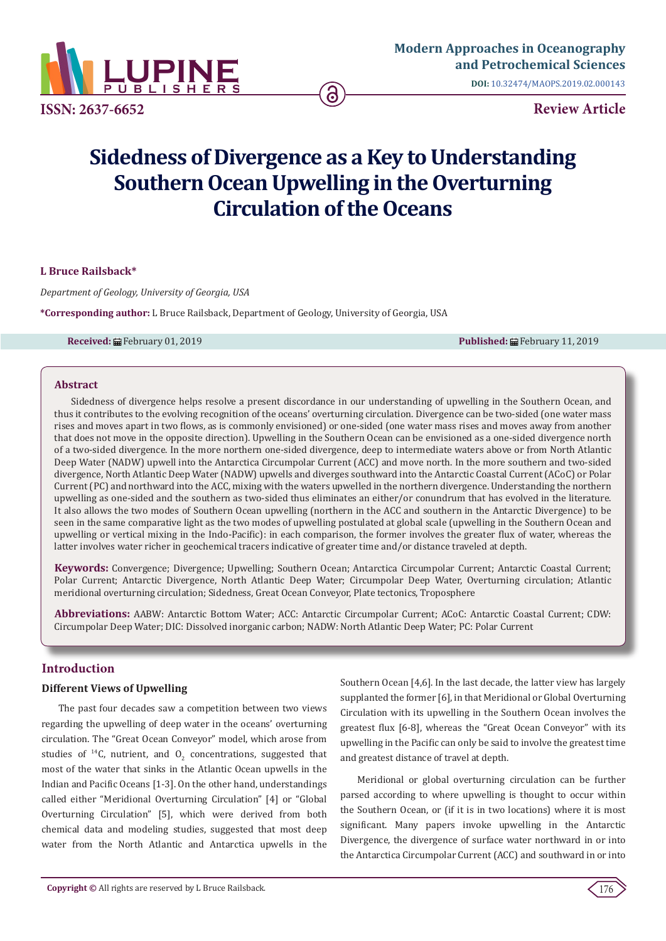

**[Modern Approaches in Oceanography](https://www.lupinepublishers.com/urology-nephrology-journal/)  and Petrochemical Sciences** 

**DOI:** [10.32474/MAOPS.2019.02.000143](http://dx.doi.org/10.32474/MAOPS.2019.02.000143)

# **Sidedness of Divergence as a Key to Understanding Southern Ocean Upwelling in the Overturning Circulation of the Oceans**

## **L Bruce Railsback\***

*Department of Geology, University of Georgia, USA*

**\*Corresponding author:** L Bruce Railsback, Department of Geology, University of Georgia, USA

**Received:** February 01, 2019 **Published:** February 11, 2019

#### **Abstract**

Sidedness of divergence helps resolve a present discordance in our understanding of upwelling in the Southern Ocean, and thus it contributes to the evolving recognition of the oceans' overturning circulation. Divergence can be two-sided (one water mass rises and moves apart in two flows, as is commonly envisioned) or one-sided (one water mass rises and moves away from another that does not move in the opposite direction). Upwelling in the Southern Ocean can be envisioned as a one-sided divergence north of a two-sided divergence. In the more northern one-sided divergence, deep to intermediate waters above or from North Atlantic Deep Water (NADW) upwell into the Antarctica Circumpolar Current (ACC) and move north. In the more southern and two-sided divergence, North Atlantic Deep Water (NADW) upwells and diverges southward into the Antarctic Coastal Current (ACoC) or Polar Current (PC) and northward into the ACC, mixing with the waters upwelled in the northern divergence. Understanding the northern upwelling as one-sided and the southern as two-sided thus eliminates an either/or conundrum that has evolved in the literature. It also allows the two modes of Southern Ocean upwelling (northern in the ACC and southern in the Antarctic Divergence) to be seen in the same comparative light as the two modes of upwelling postulated at global scale (upwelling in the Southern Ocean and upwelling or vertical mixing in the Indo-Pacific): in each comparison, the former involves the greater flux of water, whereas the latter involves water richer in geochemical tracers indicative of greater time and/or distance traveled at depth.

**Keywords:** Convergence; Divergence; Upwelling; Southern Ocean; Antarctica Circumpolar Current; Antarctic Coastal Current; Polar Current; Antarctic Divergence, North Atlantic Deep Water; Circumpolar Deep Water, Overturning circulation; Atlantic meridional overturning circulation; Sidedness, Great Ocean Conveyor, Plate tectonics, Troposphere

**Abbreviations:** AABW: Antarctic Bottom Water; ACC: Antarctic Circumpolar Current; ACoC: Antarctic Coastal Current; CDW: Circumpolar Deep Water; DIC: Dissolved inorganic carbon; NADW: North Atlantic Deep Water; PC: Polar Current

# **Introduction**

#### **Different Views of Upwelling**

The past four decades saw a competition between two views regarding the upwelling of deep water in the oceans' overturning circulation. The "Great Ocean Conveyor" model, which arose from studies of <sup>14</sup>C, nutrient, and  $0<sub>2</sub>$  concentrations, suggested that most of the water that sinks in the Atlantic Ocean upwells in the Indian and Pacific Oceans [1-3]. On the other hand, understandings called either "Meridional Overturning Circulation" [4] or "Global Overturning Circulation" [5], which were derived from both chemical data and modeling studies, suggested that most deep water from the North Atlantic and Antarctica upwells in the Southern Ocean [4,6]. In the last decade, the latter view has largely supplanted the former [6], in that Meridional or Global Overturning Circulation with its upwelling in the Southern Ocean involves the greatest flux [6-8], whereas the "Great Ocean Conveyor" with its upwelling in the Pacific can only be said to involve the greatest time and greatest distance of travel at depth.

Meridional or global overturning circulation can be further parsed according to where upwelling is thought to occur within the Southern Ocean, or (if it is in two locations) where it is most significant. Many papers invoke upwelling in the Antarctic Divergence, the divergence of surface water northward in or into the Antarctica Circumpolar Current (ACC) and southward in or into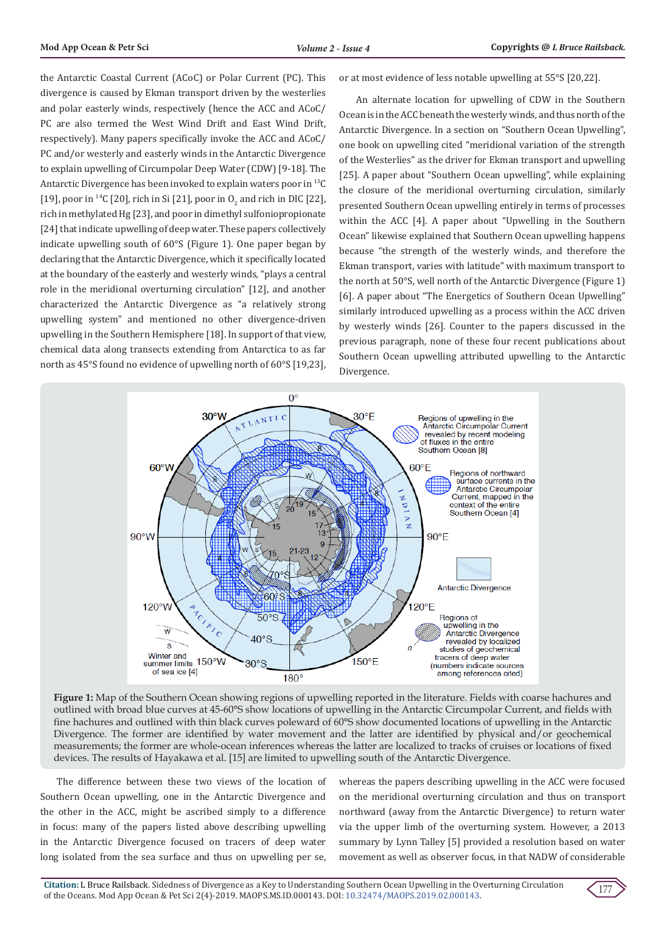the Antarctic Coastal Current (ACoC) or Polar Current (PC). This divergence is caused by Ekman transport driven by the westerlies and polar easterly winds, respectively (hence the ACC and ACoC/ PC are also termed the West Wind Drift and East Wind Drift, respectively). Many papers specifically invoke the ACC and ACoC/ PC and/or westerly and easterly winds in the Antarctic Divergence to explain upwelling of Circumpolar Deep Water (CDW) [9-18]. The Antarctic Divergence has been invoked to explain waters poor in 13C [19], poor in <sup>14</sup>C [20], rich in Si [21], poor in  $O_2$  and rich in DIC [22], rich in methylated Hg [23], and poor in dimethyl sulfoniopropionate [24] that indicate upwelling of deep water. These papers collectively indicate upwelling south of 60°S (Figure 1). One paper began by declaring that the Antarctic Divergence, which it specifically located at the boundary of the easterly and westerly winds, "plays a central role in the meridional overturning circulation" [12], and another characterized the Antarctic Divergence as "a relatively strong upwelling system" and mentioned no other divergence-driven upwelling in the Southern Hemisphere [18]. In support of that view, chemical data along transects extending from Antarctica to as far north as 45°S found no evidence of upwelling north of 60°S [19,23], or at most evidence of less notable upwelling at 55°S [20,22].

An alternate location for upwelling of CDW in the Southern Ocean is in the ACC beneath the westerly winds, and thus north of the Antarctic Divergence. In a section on "Southern Ocean Upwelling", one book on upwelling cited "meridional variation of the strength of the Westerlies" as the driver for Ekman transport and upwelling [25]. A paper about "Southern Ocean upwelling", while explaining the closure of the meridional overturning circulation, similarly presented Southern Ocean upwelling entirely in terms of processes within the ACC [4]. A paper about "Upwelling in the Southern Ocean" likewise explained that Southern Ocean upwelling happens because "the strength of the westerly winds, and therefore the Ekman transport, varies with latitude" with maximum transport to the north at 50°S, well north of the Antarctic Divergence (Figure 1) [6]. A paper about "The Energetics of Southern Ocean Upwelling" similarly introduced upwelling as a process within the ACC driven by westerly winds [26]. Counter to the papers discussed in the previous paragraph, none of these four recent publications about Southern Ocean upwelling attributed upwelling to the Antarctic Divergence.



**Figure 1:** Map of the Southern Ocean showing regions of upwelling reported in the literature. Fields with coarse hachures and outlined with broad blue curves at 45-60°S show locations of upwelling in the Antarctic Circumpolar Current, and fields with fine hachures and outlined with thin black curves poleward of 60°S show documented locations of upwelling in the Antarctic Divergence. The former are identified by water movement and the latter are identified by physical and/or geochemical measurements; the former are whole-ocean inferences whereas the latter are localized to tracks of cruises or locations of fixed devices. The results of Hayakawa et al. [15] are limited to upwelling south of the Antarctic Divergence.

The difference between these two views of the location of Southern Ocean upwelling, one in the Antarctic Divergence and the other in the ACC, might be ascribed simply to a difference in focus: many of the papers listed above describing upwelling in the Antarctic Divergence focused on tracers of deep water long isolated from the sea surface and thus on upwelling per se,

whereas the papers describing upwelling in the ACC were focused on the meridional overturning circulation and thus on transport northward (away from the Antarctic Divergence) to return water via the upper limb of the overturning system. However, a 2013 summary by Lynn Talley [5] provided a resolution based on water movement as well as observer focus, in that NADW of considerable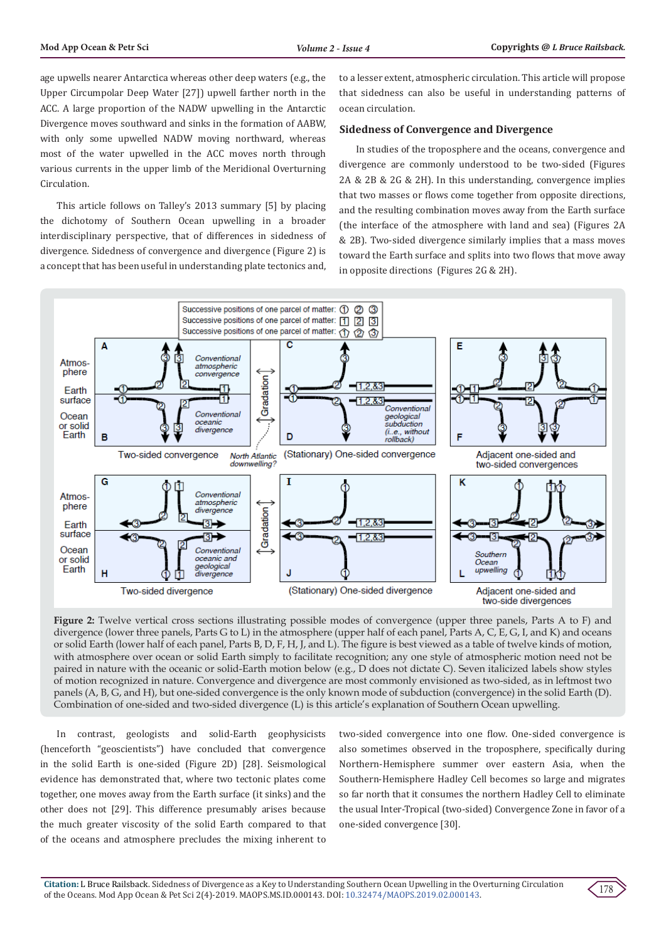age upwells nearer Antarctica whereas other deep waters (e.g., the Upper Circumpolar Deep Water [27]) upwell farther north in the ACC. A large proportion of the NADW upwelling in the Antarctic Divergence moves southward and sinks in the formation of AABW, with only some upwelled NADW moving northward, whereas most of the water upwelled in the ACC moves north through various currents in the upper limb of the Meridional Overturning Circulation.

This article follows on Talley's 2013 summary [5] by placing the dichotomy of Southern Ocean upwelling in a broader interdisciplinary perspective, that of differences in sidedness of divergence. Sidedness of convergence and divergence (Figure 2) is a concept that has been useful in understanding plate tectonics and,

to a lesser extent, atmospheric circulation. This article will propose that sidedness can also be useful in understanding patterns of ocean circulation.

#### **Sidedness of Convergence and Divergence**

In studies of the troposphere and the oceans, convergence and divergence are commonly understood to be two-sided (Figures 2A & 2B & 2G & 2H). In this understanding, convergence implies that two masses or flows come together from opposite directions, and the resulting combination moves away from the Earth surface (the interface of the atmosphere with land and sea) (Figures 2A & 2B). Two-sided divergence similarly implies that a mass moves toward the Earth surface and splits into two flows that move away in opposite directions (Figures 2G & 2H).



**Figure 2:** Twelve vertical cross sections illustrating possible modes of convergence (upper three panels, Parts A to F) and divergence (lower three panels, Parts G to L) in the atmosphere (upper half of each panel, Parts A, C, E, G, I, and K) and oceans or solid Earth (lower half of each panel, Parts B, D, F, H, J, and L). The figure is best viewed as a table of twelve kinds of motion, with atmosphere over ocean or solid Earth simply to facilitate recognition; any one style of atmospheric motion need not be paired in nature with the oceanic or solid-Earth motion below (e.g., D does not dictate C). Seven italicized labels show styles of motion recognized in nature. Convergence and divergence are most commonly envisioned as two-sided, as in leftmost two panels (A, B, G, and H), but one-sided convergence is the only known mode of subduction (convergence) in the solid Earth (D). Combination of one-sided and two-sided divergence (L) is this article's explanation of Southern Ocean upwelling.

In contrast, geologists and solid-Earth geophysicists (henceforth "geoscientists") have concluded that convergence in the solid Earth is one-sided (Figure 2D) [28]. Seismological evidence has demonstrated that, where two tectonic plates come together, one moves away from the Earth surface (it sinks) and the other does not [29]. This difference presumably arises because the much greater viscosity of the solid Earth compared to that of the oceans and atmosphere precludes the mixing inherent to

two-sided convergence into one flow. One-sided convergence is also sometimes observed in the troposphere, specifically during Northern-Hemisphere summer over eastern Asia, when the Southern-Hemisphere Hadley Cell becomes so large and migrates so far north that it consumes the northern Hadley Cell to eliminate the usual Inter-Tropical (two-sided) Convergence Zone in favor of a one-sided convergence [30].

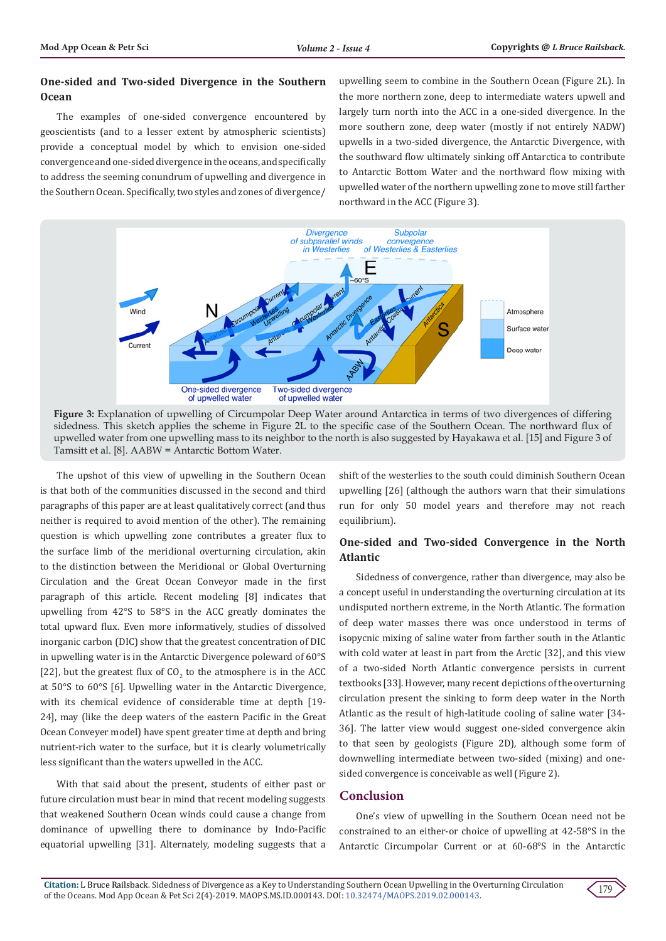# **One-sided and Two-sided Divergence in the Southern Ocean**

The examples of one-sided convergence encountered by geoscientists (and to a lesser extent by atmospheric scientists) provide a conceptual model by which to envision one-sided convergence and one-sided divergence in the oceans, and specifically to address the seeming conundrum of upwelling and divergence in the Southern Ocean. Specifically, two styles and zones of divergence/ upwelling seem to combine in the Southern Ocean (Figure 2L). In the more northern zone, deep to intermediate waters upwell and largely turn north into the ACC in a one-sided divergence. In the more southern zone, deep water (mostly if not entirely NADW) upwells in a two-sided divergence, the Antarctic Divergence, with the southward flow ultimately sinking off Antarctica to contribute to Antarctic Bottom Water and the northward flow mixing with upwelled water of the northern upwelling zone to move still farther northward in the ACC (Figure 3).





The upshot of this view of upwelling in the Southern Ocean is that both of the communities discussed in the second and third paragraphs of this paper are at least qualitatively correct (and thus neither is required to avoid mention of the other). The remaining question is which upwelling zone contributes a greater flux to the surface limb of the meridional overturning circulation, akin to the distinction between the Meridional or Global Overturning Circulation and the Great Ocean Conveyor made in the first paragraph of this article. Recent modeling [8] indicates that upwelling from 42°S to 58°S in the ACC greatly dominates the total upward flux. Even more informatively, studies of dissolved inorganic carbon (DIC) show that the greatest concentration of DIC in upwelling water is in the Antarctic Divergence poleward of 60°S [22], but the greatest flux of  $CO_2$  to the atmosphere is in the ACC at 50°S to 60°S [6]. Upwelling water in the Antarctic Divergence, with its chemical evidence of considerable time at depth [19- 24], may (like the deep waters of the eastern Pacific in the Great Ocean Conveyer model) have spent greater time at depth and bring nutrient-rich water to the surface, but it is clearly volumetrically less significant than the waters upwelled in the ACC.

With that said about the present, students of either past or future circulation must bear in mind that recent modeling suggests that weakened Southern Ocean winds could cause a change from dominance of upwelling there to dominance by Indo-Pacific equatorial upwelling [31]. Alternately, modeling suggests that a

shift of the westerlies to the south could diminish Southern Ocean upwelling [26] (although the authors warn that their simulations run for only 50 model years and therefore may not reach equilibrium).

# **One-sided and Two-sided Convergence in the North Atlantic**

Sidedness of convergence, rather than divergence, may also be a concept useful in understanding the overturning circulation at its undisputed northern extreme, in the North Atlantic. The formation of deep water masses there was once understood in terms of isopycnic mixing of saline water from farther south in the Atlantic with cold water at least in part from the Arctic [32], and this view of a two-sided North Atlantic convergence persists in current textbooks [33]. However, many recent depictions of the overturning circulation present the sinking to form deep water in the North Atlantic as the result of high-latitude cooling of saline water [34- 36]. The latter view would suggest one-sided convergence akin to that seen by geologists (Figure 2D), although some form of downwelling intermediate between two-sided (mixing) and onesided convergence is conceivable as well (Figure 2).

## **Conclusion**

One's view of upwelling in the Southern Ocean need not be constrained to an either-or choice of upwelling at 42-58°S in the Antarctic Circumpolar Current or at 60-68°S in the Antarctic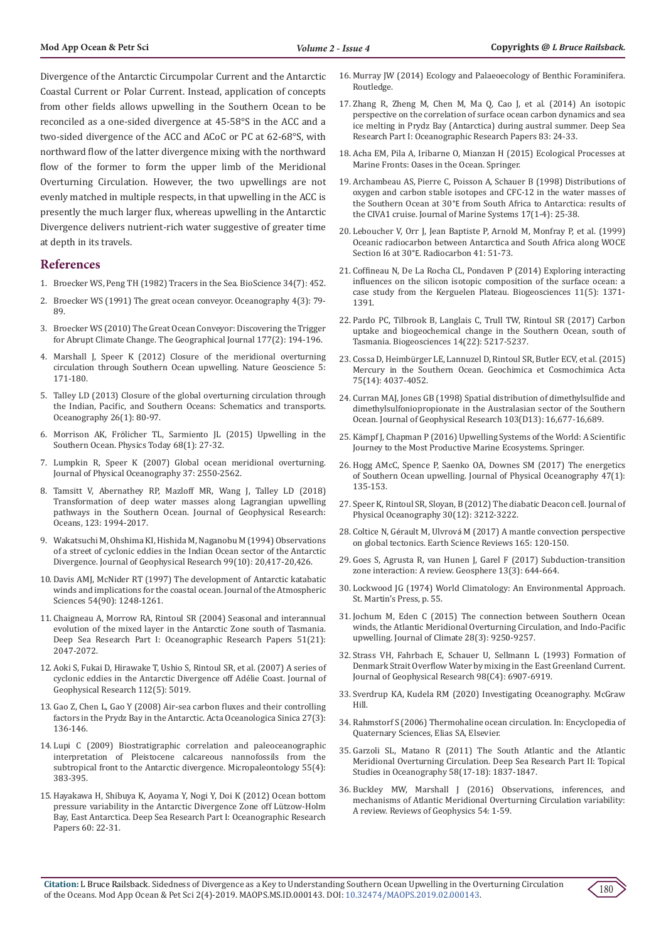Divergence of the Antarctic Circumpolar Current and the Antarctic Coastal Current or Polar Current. Instead, application of concepts from other fields allows upwelling in the Southern Ocean to be reconciled as a one-sided divergence at 45-58°S in the ACC and a two-sided divergence of the ACC and ACoC or PC at 62-68°S, with northward flow of the latter divergence mixing with the northward flow of the former to form the upper limb of the Meridional Overturning Circulation. However, the two upwellings are not evenly matched in multiple respects, in that upwelling in the ACC is presently the much larger flux, whereas upwelling in the Antarctic Divergence delivers nutrient-rich water suggestive of greater time at depth in its travels.

#### **References**

- 1. [Broecker WS, Peng TH \(1982\) Tracers in the Sea. BioScience 34\(7\): 452.](https://academic.oup.com/bioscience/article-abstract/34/7/452/2754012?redirectedFrom=fulltext)
- 2. [Broecker WS \(1991\) The great ocean conveyor. Oceanography 4\(3\): 79-](http://pordlabs.ucsd.edu/ltalley/sio210/readings/broecker_1991_ocean_conveyor.pdf) [89.](http://pordlabs.ucsd.edu/ltalley/sio210/readings/broecker_1991_ocean_conveyor.pdf)
- 3. [Broecker WS \(2010\) The Great Ocean Conveyor: Discovering the Trigger](https://rgs-ibg.onlinelibrary.wiley.com/doi/full/10.1111/j.1475-4959.2010.00389_5.x)  [for Abrupt Climate Change. The Geographical Journal 177\(2\): 194-196.](https://rgs-ibg.onlinelibrary.wiley.com/doi/full/10.1111/j.1475-4959.2010.00389_5.x)
- 4. [Marshall J, Speer K \(2012\) Closure of the meridional overturning](https://www.nature.com/articles/ngeo1391)  [circulation through Southern Ocean upwelling. Nature Geoscience 5:](https://www.nature.com/articles/ngeo1391)  [171-180.](https://www.nature.com/articles/ngeo1391)
- 5. Talley LD (2013) Closure of the global overturning circulation through the Indian, Pacific, and Southern Oceans: Schematics and transports. Oceanography 26(1): 80-97.
- 6. Morrison AK, Frö[licher TL, Sarmiento JL \(2015\) Upwelling in the](https://www.researchgate.net/publication/270508719_Upwelling_in_the_Southern_Ocean)  [Southern Ocean. Physics Today 68\(1\): 27-32.](https://www.researchgate.net/publication/270508719_Upwelling_in_the_Southern_Ocean)
- 7. [Lumpkin R, Speer K \(2007\) Global ocean meridional overturning.](https://journals.ametsoc.org/doi/pdf/10.1175/JPO3130.1)  [Journal of Physical Oceanography 37: 2550-2562.](https://journals.ametsoc.org/doi/pdf/10.1175/JPO3130.1)
- 8. [Tamsitt V, Abernathey RP, Mazloff MR, Wang J, Talley LD \(2018\)](https://agupubs.onlinelibrary.wiley.com/doi/full/10.1002/2017JC013409)  [Transformation of deep water masses along Lagrangian upwelling](https://agupubs.onlinelibrary.wiley.com/doi/full/10.1002/2017JC013409)  [pathways in the Southern Ocean. Journal of Geophysical Research:](https://agupubs.onlinelibrary.wiley.com/doi/full/10.1002/2017JC013409)  [Oceans, 123: 1994-2017.](https://agupubs.onlinelibrary.wiley.com/doi/full/10.1002/2017JC013409)
- 9. [Wakatsuchi M, Ohshima KI, Hishida M, Naganobu M \(1994\) Observations](https://agupubs.onlinelibrary.wiley.com/doi/abs/10.1029/94JC01478)  [of a street of cyclonic eddies in the Indian Ocean sector of the Antarctic](https://agupubs.onlinelibrary.wiley.com/doi/abs/10.1029/94JC01478)  [Divergence. Journal of Geophysical Research 99\(10\): 20,417-20,426](https://agupubs.onlinelibrary.wiley.com/doi/abs/10.1029/94JC01478).
- 10. [Davis AMJ, McNider RT \(1997\) The development of Antarctic katabatic](https://www.researchgate.net/publication/240686503_The_Development_of_Antarctic_Katabatic_Winds_and_Implications_for_the_Coastal_Ocean)  [winds and implications for the coastal ocean. Journal of the Atmospheric](https://www.researchgate.net/publication/240686503_The_Development_of_Antarctic_Katabatic_Winds_and_Implications_for_the_Coastal_Ocean)  [Sciences 54\(90\): 1248-1261.](https://www.researchgate.net/publication/240686503_The_Development_of_Antarctic_Katabatic_Winds_and_Implications_for_the_Coastal_Ocean)
- 11. [Chaigneau A, Morrow RA, Rintoul SR \(2004\) Seasonal and interannual](https://www.sciencedirect.com/science/article/pii/S0967063704001499)  [evolution of the mixed layer in the Antarctic Zone south of Tasmania.](https://www.sciencedirect.com/science/article/pii/S0967063704001499)  [Deep Sea Research Part I: Oceanographic Research Papers 51\(21\):](https://www.sciencedirect.com/science/article/pii/S0967063704001499)  [2047-2072.](https://www.sciencedirect.com/science/article/pii/S0967063704001499)
- 12. [Aoki S, Fukai D, Hirawake T, Ushio S, Rintoul SR, et al. \(2007\) A series of](https://agupubs.onlinelibrary.wiley.com/doi/full/10.1029/2006JC003712)  [cyclonic eddies in the Antarctic Divergence off Adélie Coast. Journal of](https://agupubs.onlinelibrary.wiley.com/doi/full/10.1029/2006JC003712)  [Geophysical Research 112\(5\): 5019.](https://agupubs.onlinelibrary.wiley.com/doi/full/10.1029/2006JC003712)
- 13. [Gao Z, Chen L, Gao Y \(2008\) Air-sea carbon fluxes and their controlling](https://www.researchgate.net/publication/283826920_Air-sea_carbon_fluxes_and_their_controlling_factors_in_the_Prydz_Bay_in_the_Antarctic)  [factors in the Prydz Bay in the Antarctic. Acta Oceanologica Sinica 27\(3\):](https://www.researchgate.net/publication/283826920_Air-sea_carbon_fluxes_and_their_controlling_factors_in_the_Prydz_Bay_in_the_Antarctic)  [136-146.](https://www.researchgate.net/publication/283826920_Air-sea_carbon_fluxes_and_their_controlling_factors_in_the_Prydz_Bay_in_the_Antarctic)
- 14. [Lupi C \(2009\) Biostratigraphic correlation and paleoceanographic](https://www.researchgate.net/publication/235975211_Biostratigraphic_correlation_and_paleoceanographic_interpretation_of_Pleistocene_calcareous_nannofossils_from_the_Subtropical_Front_to_the_Antarctic_Divergence)  [interpretation of Pleistocene calcareous nannofossils from the](https://www.researchgate.net/publication/235975211_Biostratigraphic_correlation_and_paleoceanographic_interpretation_of_Pleistocene_calcareous_nannofossils_from_the_Subtropical_Front_to_the_Antarctic_Divergence)  [subtropical front to the Antarctic divergence. Micropaleontology 55\(4\):](https://www.researchgate.net/publication/235975211_Biostratigraphic_correlation_and_paleoceanographic_interpretation_of_Pleistocene_calcareous_nannofossils_from_the_Subtropical_Front_to_the_Antarctic_Divergence)  [383-395.](https://www.researchgate.net/publication/235975211_Biostratigraphic_correlation_and_paleoceanographic_interpretation_of_Pleistocene_calcareous_nannofossils_from_the_Subtropical_Front_to_the_Antarctic_Divergence)
- 15. [Hayakawa H, Shibuya K, Aoyama Y, Nogi Y, Doi K \(2012\) Ocean bottom](https://www.sciencedirect.com/science/article/pii/S0967063711001713)  [pressure variability in the Antarctic Divergence Zone off Lützow-Holm](https://www.sciencedirect.com/science/article/pii/S0967063711001713)  Bay, East Antarctica. [Deep Sea Research Part I: Oceanographic Research](https://www.sciencedirect.com/science/article/pii/S0967063711001713)  [Papers 60: 22-31.](https://www.sciencedirect.com/science/article/pii/S0967063711001713)
- 16. Murray JW (2014) Ecology and Palaeoecology of Benthic Foraminifera. Routledge.
- 17. [Zhang R, Zheng M, Chen M, Ma Q, Cao J, et al. \(2014\) An isotopic](https://www.sciencedirect.com/science/article/pii/S0967063713001829) [perspective on the correlation of surface ocean carbon dynamics and sea](https://www.sciencedirect.com/science/article/pii/S0967063713001829) [ice melting in Prydz Bay \(Antarctica\) during austral summer. Deep Sea](https://www.sciencedirect.com/science/article/pii/S0967063713001829) [Research Part I: Oceanographic Research Papers 83: 24-33.](https://www.sciencedirect.com/science/article/pii/S0967063713001829)
- 18. [Acha EM, Pila A, Iribarne O, Mianzan H \(2015\) Ecological Processes at](https://www.researchgate.net/publication/322978880_Ecological_Processes_at_Marine_Fronts_Oases_in_the_Ocean) [Marine Fronts: Oases in the Ocean. Springer](https://www.researchgate.net/publication/322978880_Ecological_Processes_at_Marine_Fronts_Oases_in_the_Ocean).
- 19. [Archambeau AS, Pierre C, Poisson A, Schauer B \(1998\) Distributions of](https://www.sciencedirect.com/science/article/pii/S092479639800027X) [oxygen and carbon stable isotopes and CFC-12 in the water masses of](https://www.sciencedirect.com/science/article/pii/S092479639800027X) the Southern Ocean at 30°E [from South Africa to Antarctica: results of](https://www.sciencedirect.com/science/article/pii/S092479639800027X) [the CIVA1 cruise. Journal of Marine Systems 17\(1-4\): 25-38](https://www.sciencedirect.com/science/article/pii/S092479639800027X).
- 20. Leboucher V, Orr J, Jean Baptiste P, Arnold M, Monfray P, et al. (1999) Oceanic radiocarbon between Antarctica and South Africa along WOCE Section I6 at 30°E. Radiocarbon 41: 51-73.
- 21. [Coffineau N, De La Rocha CL, Pondaven P \(2014\) Exploring interacting](https://www.biogeosciences.net/11/1371/2014/) [influences on the silicon isotopic composition of the surface ocean: a](https://www.biogeosciences.net/11/1371/2014/) [case study from the Kerguelen Plateau. Biogeosciences 11\(5\): 1371-](https://www.biogeosciences.net/11/1371/2014/) [1391.](https://www.biogeosciences.net/11/1371/2014/)
- 22. [Pardo PC, Tilbrook B, Langlais C, Trull TW, Rintoul SR \(2017\) Carbon](https://www.biogeosciences.net/14/5217/2017/) [uptake and biogeochemical change in the Southern Ocean, south of](https://www.biogeosciences.net/14/5217/2017/) [Tasmania. Biogeosciences 14\(22\): 5217-5237.](https://www.biogeosciences.net/14/5217/2017/)
- 23. Cossa D, Heimbü[rger LE, Lannuzel D, Rintoul SR, Butler ECV, et al. \(2015\)](https://www.sciencedirect.com/science/article/pii/S0016703711002614) [Mercury in the Southern Ocean. Geochimica et Cosmochimica Acta](https://www.sciencedirect.com/science/article/pii/S0016703711002614) [75\(14\): 4037-4052.](https://www.sciencedirect.com/science/article/pii/S0016703711002614)
- 24. [Curran MAJ, Jones GB \(1998\) Spatial distribution of dimethylsulfide and](https://agupubs.onlinelibrary.wiley.com/doi/10.1029/97JD03453) [dimethylsulfoniopropionate in the Australasian sector of the Southern](https://agupubs.onlinelibrary.wiley.com/doi/10.1029/97JD03453) [Ocean. Journal of Geophysical Research 103\(D13\): 16,677-16,689.](https://agupubs.onlinelibrary.wiley.com/doi/10.1029/97JD03453)
- 25. Kämpf J, Chapman P (2016) Upwelling Systems of the World: A Scientific Journey to the Most Productive Marine Ecosystems. Springer.
- 26. [Hogg AMcC, Spence P, Saenko OA, Downes SM \(2017\) The energetics](https://www.researchgate.net/publication/310478839_The_Energetics_of_Southern_Ocean_Upwelling) [of Southern Ocean upwelling. Journal of Physical Oceanography 47\(1\):](https://www.researchgate.net/publication/310478839_The_Energetics_of_Southern_Ocean_Upwelling) [135-153.](https://www.researchgate.net/publication/310478839_The_Energetics_of_Southern_Ocean_Upwelling)
- 27. [Speer K, Rintoul SR, Sloyan, B \(2012\) The diabatic Deacon cell. Journal of](https://www.researchgate.net/publication/240687740_The_Diabatic_Deacon_Cell) [Physical Oceanography 30\(12\): 3212-3222.](https://www.researchgate.net/publication/240687740_The_Diabatic_Deacon_Cell)
- 28. Coltice N, Gérault M, Ulvrová [M \(2017\) A mantle convection perspective](https://www.sciencedirect.com/science/article/pii/S0012825216304354) [on global tectonics. Earth Science Reviews 165: 120-150.](https://www.sciencedirect.com/science/article/pii/S0012825216304354)
- 29. [Goes S, Agrusta R, van Hunen J, Garel F \(2017\) Subduction-transition](https://pubs.geoscienceworld.org/gsa/geosphere/article/13/3/644/208074/subduction-transition-zone-interaction-a-review) [zone interaction: A review. Geosphere 13\(3\): 644-664.](https://pubs.geoscienceworld.org/gsa/geosphere/article/13/3/644/208074/subduction-transition-zone-interaction-a-review)
- 30. Lockwood JG (1974) World Climatology: An Environmental Approach. St. Martin's Press, p. 55.
- 31. [Jochum M, Eden C \(2015\) The connection between Southern Ocean](https://www.researchgate.net/publication/282419165_The_connection_between_Southern_Ocean_winds_Atlantic_Meridional_Overturning_and_Indo-Pacific_upwelling) [winds, the Atlantic Meridional Overturning Circulation, and Indo-Pacific](https://www.researchgate.net/publication/282419165_The_connection_between_Southern_Ocean_winds_Atlantic_Meridional_Overturning_and_Indo-Pacific_upwelling) [upwelling. Journal of Climate 28\(3\): 9250-9257.](https://www.researchgate.net/publication/282419165_The_connection_between_Southern_Ocean_winds_Atlantic_Meridional_Overturning_and_Indo-Pacific_upwelling)
- 32. [Strass VH, Fahrbach E, Schauer U, Sellmann L \(1993\) Formation of](http://adsabs.harvard.edu/abs/1993JGR....98.6907S) [Denmark Strait Overflow Water by mixing in the East Greenland Current.](http://adsabs.harvard.edu/abs/1993JGR....98.6907S) [Journal of Geophysical Research 98\(C4\): 6907-6919.](http://adsabs.harvard.edu/abs/1993JGR....98.6907S)
- 33. Sverdrup KA, Kudela RM (2020) Investigating Oceanography. McGraw Hill.
- 34. Rahmstorf S (2006) Thermohaline ocean circulation. In: Encyclopedia of Quaternary Sciences, Elias SA, Elsevier.
- 35. [Garzoli SL, Matano R \(2011\) The South Atlantic and the Atlantic](https://www.sciencedirect.com/science/article/pii/S0967064511000464) [Meridional Overturning Circulation. Deep Sea Research Part II: Topical](https://www.sciencedirect.com/science/article/pii/S0967064511000464) [Studies in Oceanography 58\(17-18\): 1837-1847.](https://www.sciencedirect.com/science/article/pii/S0967064511000464)
- 36. [Buckley MW, Marshall J \(2016\) Observations, inferences, and](http://oceans.mit.edu/JohnMarshall/wp-content/uploads/2016/02/rog20093.pdf) [mechanisms of Atlantic Meridional Overturning Circulation variability:](http://oceans.mit.edu/JohnMarshall/wp-content/uploads/2016/02/rog20093.pdf) [A review. Reviews of Geophysics 54: 1-59.](http://oceans.mit.edu/JohnMarshall/wp-content/uploads/2016/02/rog20093.pdf)